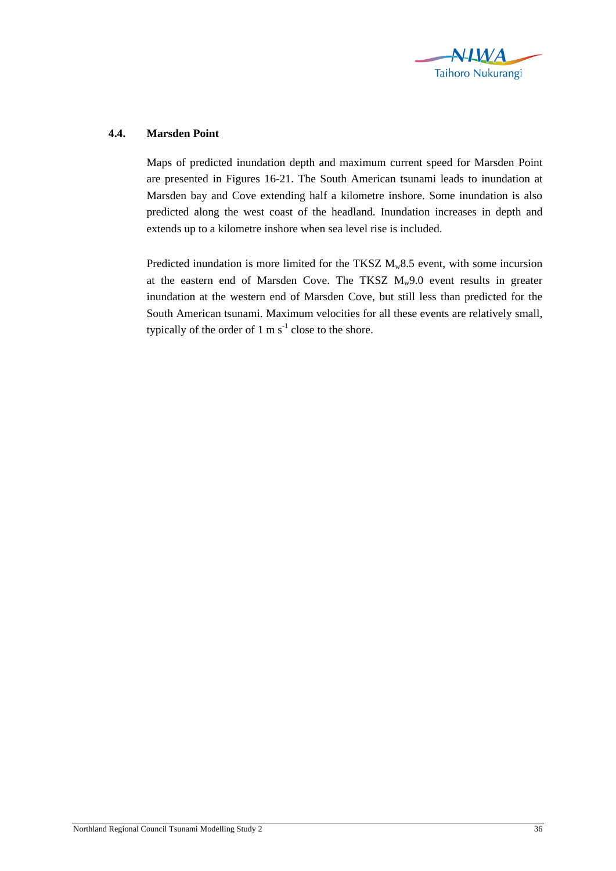

## **4.4. Marsden Point**

Maps of predicted inundation depth and maximum current speed for Marsden Point are presented in Figures 16-21. The South American tsunami leads to inundation at Marsden bay and Cove extending half a kilometre inshore. Some inundation is also predicted along the west coast of the headland. Inundation increases in depth and extends up to a kilometre inshore when sea level rise is included.

Predicted inundation is more limited for the TKSZ  $M_w 8.5$  event, with some incursion at the eastern end of Marsden Cove. The TKSZ  $M_w9.0$  event results in greater inundation at the western end of Marsden Cove, but still less than predicted for the South American tsunami. Maximum velocities for all these events are relatively small, typically of the order of  $1 \text{ m s}^{-1}$  close to the shore.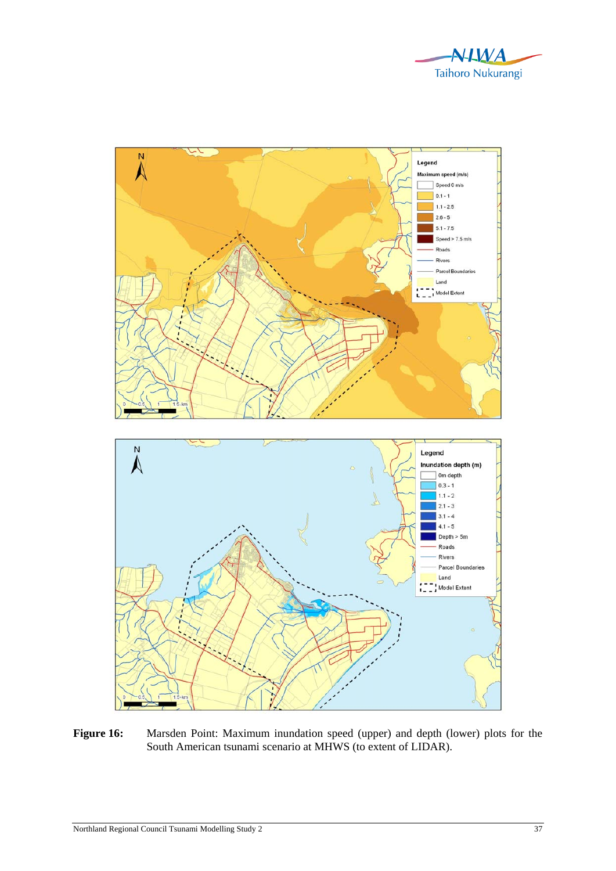



Figure 16: Marsden Point: Maximum inundation speed (upper) and depth (lower) plots for the South American tsunami scenario at MHWS (to extent of LIDAR).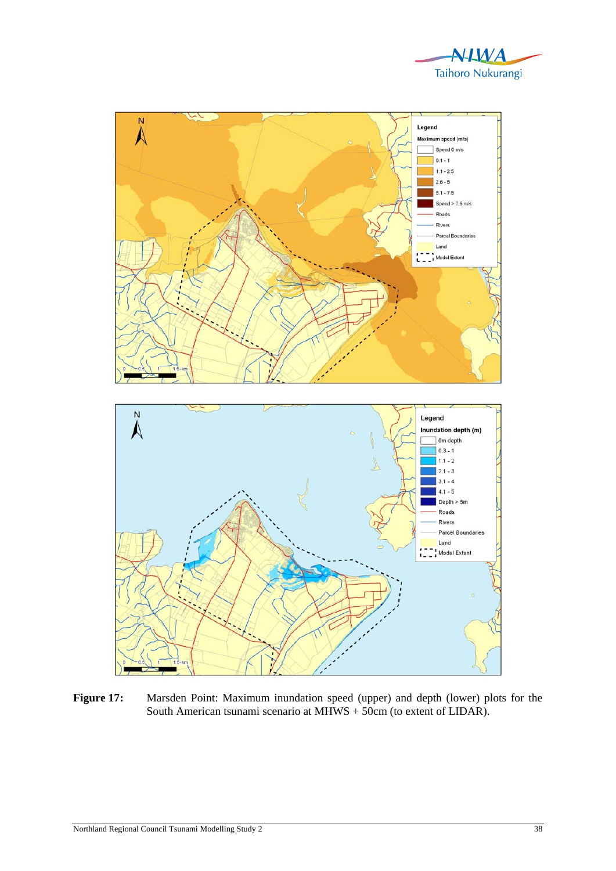



Figure 17: Marsden Point: Maximum inundation speed (upper) and depth (lower) plots for the South American tsunami scenario at MHWS + 50cm (to extent of LIDAR).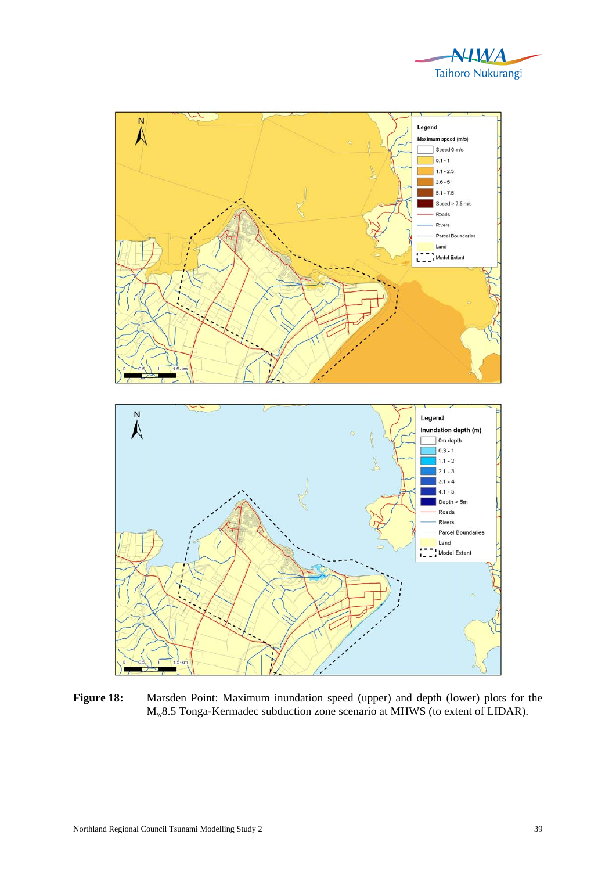



Figure 18: Marsden Point: Maximum inundation speed (upper) and depth (lower) plots for the Mw8.5 Tonga-Kermadec subduction zone scenario at MHWS (to extent of LIDAR).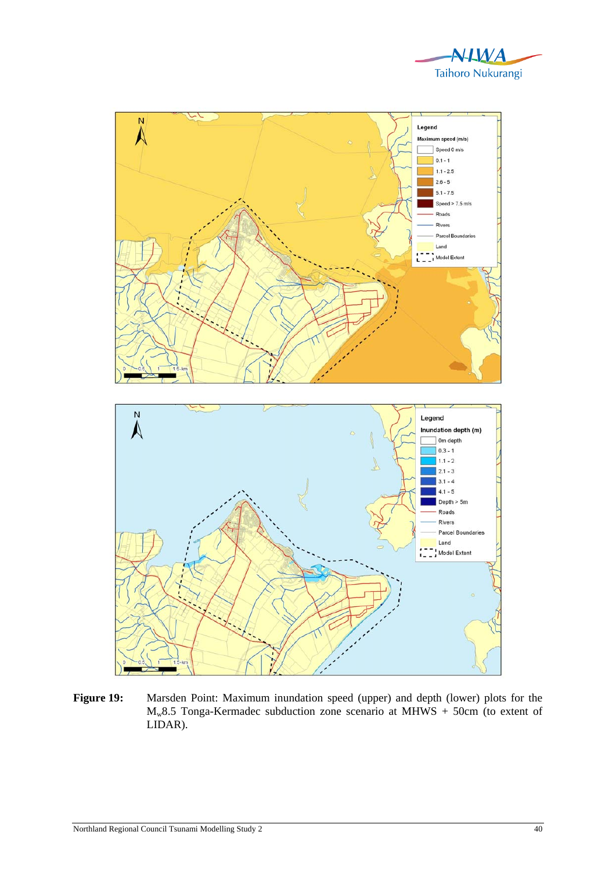



Figure 19: Marsden Point: Maximum inundation speed (upper) and depth (lower) plots for the  $M_w8.5$  Tonga-Kermadec subduction zone scenario at MHWS + 50cm (to extent of LIDAR).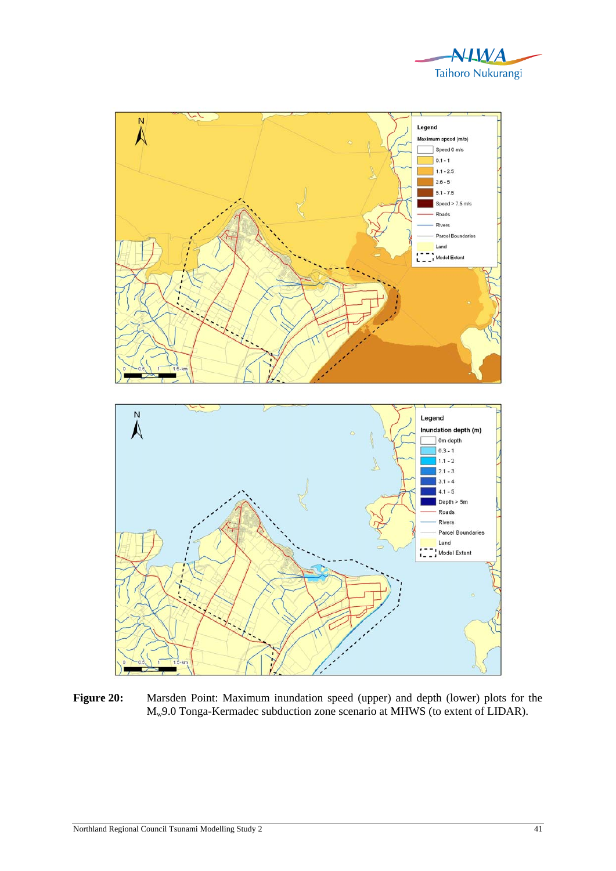



Figure 20: Marsden Point: Maximum inundation speed (upper) and depth (lower) plots for the Mw9.0 Tonga-Kermadec subduction zone scenario at MHWS (to extent of LIDAR).